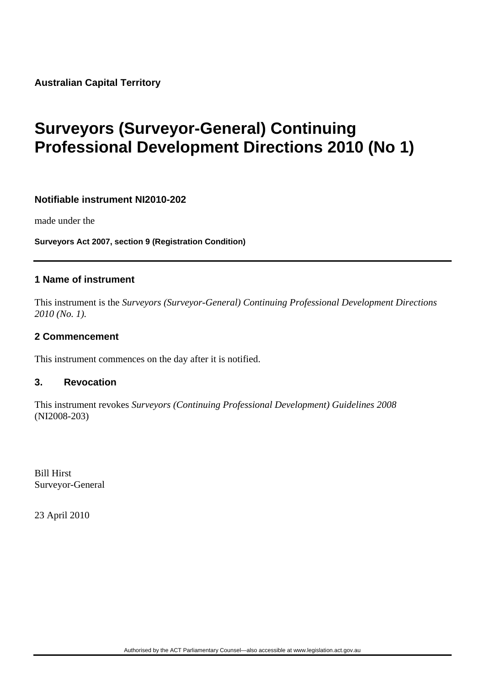**Australian Capital Territory** 

# **Surveyors (Surveyor-General) Continuing Professional Development Directions 2010 (No 1)**

#### **Notifiable instrument NI2010-202**

made under the

**Surveyors Act 2007, section 9 (Registration Condition)**

#### **1 Name of instrument**

This instrument is the *Surveyors (Surveyor-General) Continuing Professional Development Directions 2010 (No. 1).* 

#### **2 Commencement**

This instrument commences on the day after it is notified.

#### **3. Revocation**

This instrument revokes *Surveyors (Continuing Professional Development) Guidelines 2008* (NI2008-203)

Bill Hirst Surveyor-General

23 April 2010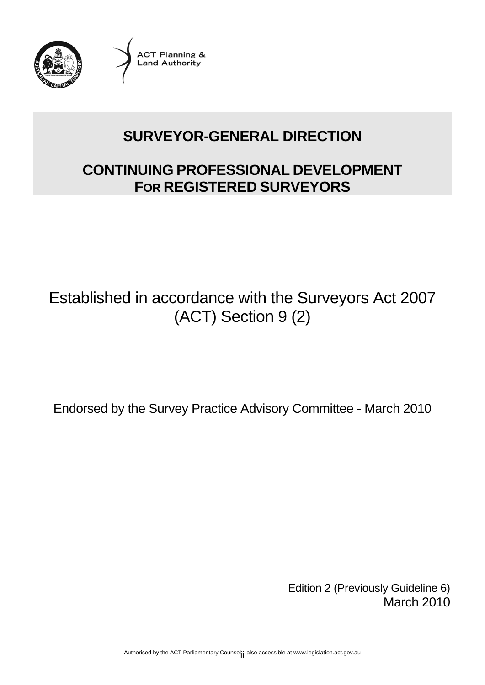

**ACT Planning & Land Authority** 

# **SURVEYOR-GENERAL DIRECTION**

# **CONTINUING PROFESSIONAL DEVELOPMENT FOR REGISTERED SURVEYORS**

# Established in accordance with the Surveyors Act 2007 (ACT) Section 9 (2)

Endorsed by the Survey Practice Advisory Committee - March 2010

Edition 2 (Previously Guideline 6) March 2010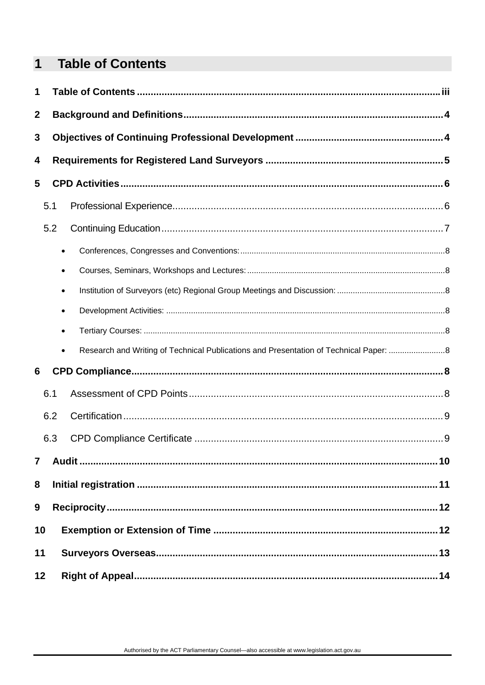#### <span id="page-2-0"></span> $\overline{\mathbf{1}}$ **Table of Contents**

| 1                |     |                                                                                                    |  |
|------------------|-----|----------------------------------------------------------------------------------------------------|--|
| $\boldsymbol{2}$ |     |                                                                                                    |  |
| 3                |     |                                                                                                    |  |
| 4                |     |                                                                                                    |  |
| 5                |     |                                                                                                    |  |
|                  | 5.1 |                                                                                                    |  |
|                  | 5.2 |                                                                                                    |  |
|                  |     | $\bullet$                                                                                          |  |
|                  |     | $\bullet$                                                                                          |  |
|                  |     | $\bullet$                                                                                          |  |
|                  |     | $\bullet$                                                                                          |  |
|                  |     | $\bullet$                                                                                          |  |
|                  |     | Research and Writing of Technical Publications and Presentation of Technical Paper: 8<br>$\bullet$ |  |
| 6                |     |                                                                                                    |  |
|                  | 6.1 |                                                                                                    |  |
|                  | 6.2 |                                                                                                    |  |
|                  | 6.3 |                                                                                                    |  |
| $\overline{7}$   |     |                                                                                                    |  |
| 8                |     |                                                                                                    |  |
| 9                |     |                                                                                                    |  |
| 10               |     |                                                                                                    |  |
| 11               |     |                                                                                                    |  |
| 12               |     |                                                                                                    |  |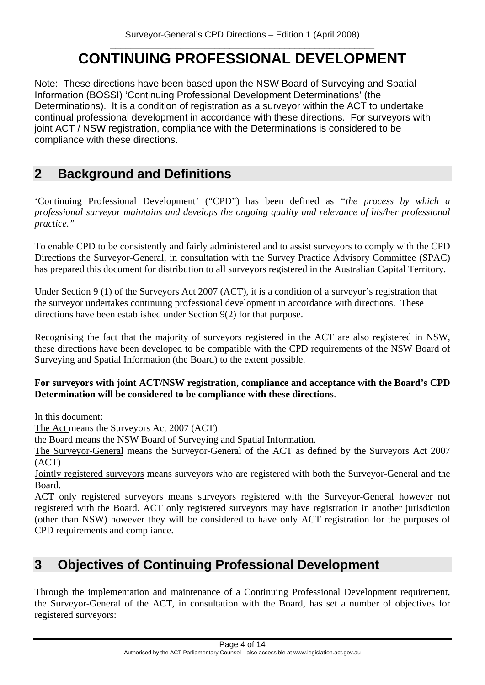#### \_\_\_\_\_\_\_\_\_\_\_\_\_\_\_\_\_\_\_\_\_\_\_\_\_\_\_\_\_\_\_\_\_\_\_\_\_\_\_\_\_\_\_\_\_\_\_\_\_\_\_\_\_ **CONTINUING PROFESSIONAL DEVELOPMENT**

<span id="page-3-0"></span>Note: These directions have been based upon the NSW Board of Surveying and Spatial Information (BOSSI) 'Continuing Professional Development Determinations' (the Determinations). It is a condition of registration as a surveyor within the ACT to undertake continual professional development in accordance with these directions. For surveyors with joint ACT / NSW registration, compliance with the Determinations is considered to be compliance with these directions.

# **2 Background and Definitions**

'Continuing Professional Development' ("CPD") has been defined as *"the process by which a professional surveyor maintains and develops the ongoing quality and relevance of his/her professional practice."*

To enable CPD to be consistently and fairly administered and to assist surveyors to comply with the CPD Directions the Surveyor-General, in consultation with the Survey Practice Advisory Committee (SPAC) has prepared this document for distribution to all surveyors registered in the Australian Capital Territory.

Under Section 9 (1) of the Surveyors Act 2007 (ACT), it is a condition of a surveyor's registration that the surveyor undertakes continuing professional development in accordance with directions. These directions have been established under Section 9(2) for that purpose.

Recognising the fact that the majority of surveyors registered in the ACT are also registered in NSW, these directions have been developed to be compatible with the CPD requirements of the NSW Board of Surveying and Spatial Information (the Board) to the extent possible.

#### **For surveyors with joint ACT/NSW registration, compliance and acceptance with the Board's CPD Determination will be considered to be compliance with these directions**.

In this document:

The Act means the Surveyors Act 2007 (ACT)

the Board means the NSW Board of Surveying and Spatial Information.

The Surveyor-General means the Surveyor-General of the ACT as defined by the Surveyors Act 2007 (ACT)

Jointly registered surveyors means surveyors who are registered with both the Surveyor-General and the Board.

ACT only registered surveyors means surveyors registered with the Surveyor-General however not registered with the Board. ACT only registered surveyors may have registration in another jurisdiction (other than NSW) however they will be considered to have only ACT registration for the purposes of CPD requirements and compliance.

## **3 Objectives of Continuing Professional Development**

Through the implementation and maintenance of a Continuing Professional Development requirement, the Surveyor-General of the ACT, in consultation with the Board, has set a number of objectives for registered surveyors: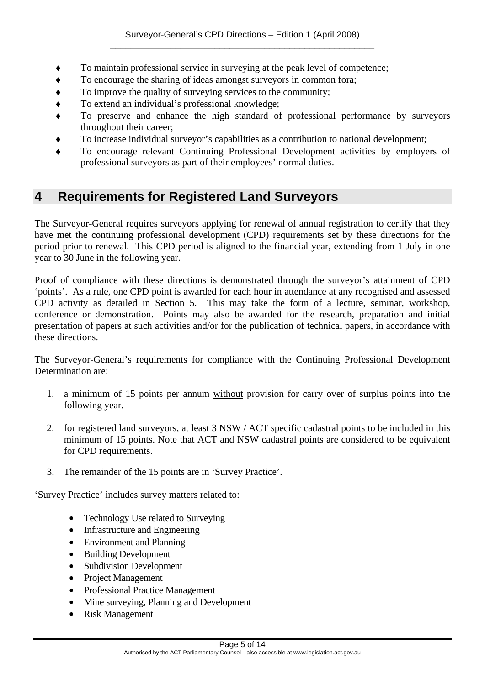- <span id="page-4-0"></span>To maintain professional service in surveving at the peak level of competence;
- ♦ To encourage the sharing of ideas amongst surveyors in common fora;
- To improve the quality of surveying services to the community;
- To extend an individual's professional knowledge;
- To preserve and enhance the high standard of professional performance by surveyors throughout their career;
- To increase individual survevor's capabilities as a contribution to national development;
- To encourage relevant Continuing Professional Development activities by employers of professional surveyors as part of their employees' normal duties.

### **4 Requirements for Registered Land Surveyors**

The Surveyor-General requires surveyors applying for renewal of annual registration to certify that they have met the continuing professional development (CPD) requirements set by these directions for the period prior to renewal. This CPD period is aligned to the financial year, extending from 1 July in one year to 30 June in the following year.

Proof of compliance with these directions is demonstrated through the surveyor's attainment of CPD 'points'. As a rule, one CPD point is awarded for each hour in attendance at any recognised and assessed CPD activity as detailed in Section 5. This may take the form of a lecture, seminar, workshop, conference or demonstration. Points may also be awarded for the research, preparation and initial presentation of papers at such activities and/or for the publication of technical papers, in accordance with these directions.

The Surveyor-General's requirements for compliance with the Continuing Professional Development Determination are:

- 1. a minimum of 15 points per annum without provision for carry over of surplus points into the following year.
- 2. for registered land surveyors, at least 3 NSW / ACT specific cadastral points to be included in this minimum of 15 points. Note that ACT and NSW cadastral points are considered to be equivalent for CPD requirements.
- 3. The remainder of the 15 points are in 'Survey Practice'.

'Survey Practice' includes survey matters related to:

- Technology Use related to Surveying
- Infrastructure and Engineering
- Environment and Planning
- Building Development
- Subdivision Development
- Project Management
- Professional Practice Management
- Mine surveying, Planning and Development
- Risk Management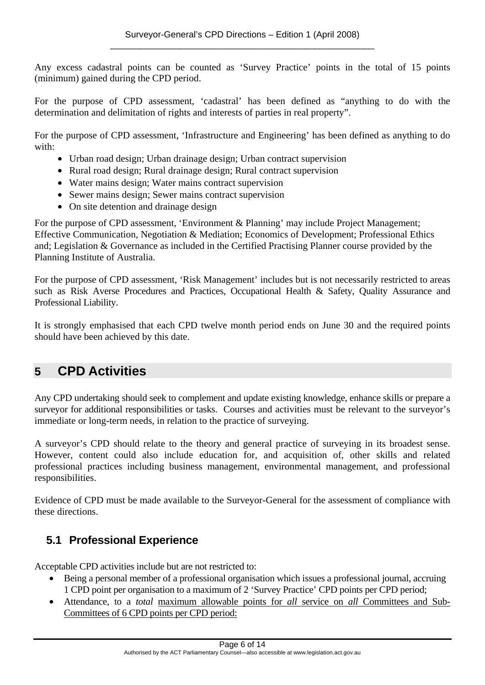<span id="page-5-0"></span>Any excess cadastral points can be counted as 'Survey Practice' points in the total of 15 points (minimum) gained during the CPD period.

For the purpose of CPD assessment, 'cadastral' has been defined as "anything to do with the determination and delimitation of rights and interests of parties in real property".

For the purpose of CPD assessment, 'Infrastructure and Engineering' has been defined as anything to do with:

- Urban road design; Urban drainage design; Urban contract supervision
- Rural road design; Rural drainage design; Rural contract supervision
- Water mains design; Water mains contract supervision
- Sewer mains design; Sewer mains contract supervision
- On site detention and drainage design

For the purpose of CPD assessment, 'Environment & Planning' may include Project Management; Effective Communication, Negotiation & Mediation; Economics of Development; Professional Ethics and; Legislation & Governance as included in the Certified Practising Planner course provided by the Planning Institute of Australia.

For the purpose of CPD assessment, 'Risk Management' includes but is not necessarily restricted to areas such as Risk Averse Procedures and Practices, Occupational Health & Safety, Quality Assurance and Professional Liability.

It is strongly emphasised that each CPD twelve month period ends on June 30 and the required points should have been achieved by this date.

## **5 CPD Activities**

Any CPD undertaking should seek to complement and update existing knowledge, enhance skills or prepare a surveyor for additional responsibilities or tasks. Courses and activities must be relevant to the surveyor's immediate or long-term needs, in relation to the practice of surveying.

A surveyor's CPD should relate to the theory and general practice of surveying in its broadest sense. However, content could also include education for, and acquisition of, other skills and related professional practices including business management, environmental management, and professional responsibilities.

Evidence of CPD must be made available to the Surveyor-General for the assessment of compliance with these directions.

#### **5.1 Professional Experience**

Acceptable CPD activities include but are not restricted to:

- Being a personal member of a professional organisation which issues a professional journal, accruing 1 CPD point per organisation to a maximum of 2 'Survey Practice' CPD points per CPD period;
- Attendance, to a *total* maximum allowable points for *all* service on *all* Committees and Sub-Committees of 6 CPD points per CPD period: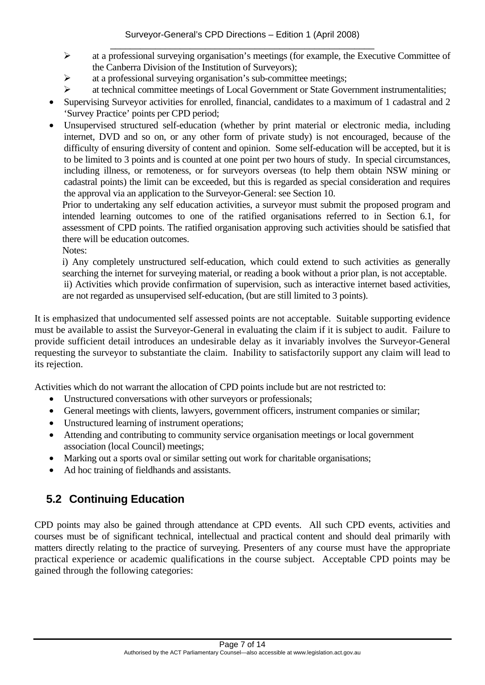- <span id="page-6-0"></span>¾ at a professional surveying organisation's meetings (for example, the Executive Committee of the Canberra Division of the Institution of Surveyors);
- $\triangleright$  at a professional surveying organisation's sub-committee meetings;
- ¾ at technical committee meetings of Local Government or State Government instrumentalities;
- Supervising Surveyor activities for enrolled, financial, candidates to a maximum of 1 cadastral and 2 'Survey Practice' points per CPD period;
- Unsupervised structured self-education (whether by print material or electronic media, including internet, DVD and so on, or any other form of private study) is not encouraged, because of the difficulty of ensuring diversity of content and opinion. Some self-education will be accepted, but it is to be limited to 3 points and is counted at one point per two hours of study. In special circumstances, including illness, or remoteness, or for surveyors overseas (to help them obtain NSW mining or cadastral points) the limit can be exceeded, but this is regarded as special consideration and requires the approval via an application to the Surveyor-General: see Section 10.

Prior to undertaking any self education activities, a surveyor must submit the proposed program and intended learning outcomes to one of the ratified organisations referred to in Section 6.1, for assessment of CPD points. The ratified organisation approving such activities should be satisfied that there will be education outcomes.

Notes:

i) Any completely unstructured self-education, which could extend to such activities as generally searching the internet for surveying material, or reading a book without a prior plan, is not acceptable. ii) Activities which provide confirmation of supervision, such as interactive internet based activities,

are not regarded as unsupervised self-education, (but are still limited to 3 points).

It is emphasized that undocumented self assessed points are not acceptable. Suitable supporting evidence must be available to assist the Surveyor-General in evaluating the claim if it is subject to audit. Failure to provide sufficient detail introduces an undesirable delay as it invariably involves the Surveyor-General requesting the surveyor to substantiate the claim. Inability to satisfactorily support any claim will lead to its rejection.

Activities which do not warrant the allocation of CPD points include but are not restricted to:

- Unstructured conversations with other surveyors or professionals;
- General meetings with clients, lawyers, government officers, instrument companies or similar;
- Unstructured learning of instrument operations;
- Attending and contributing to community service organisation meetings or local government association (local Council) meetings;
- Marking out a sports oval or similar setting out work for charitable organisations;
- Ad hoc training of fieldhands and assistants.

### **5.2 Continuing Education**

CPD points may also be gained through attendance at CPD events. All such CPD events, activities and courses must be of significant technical, intellectual and practical content and should deal primarily with matters directly relating to the practice of surveying. Presenters of any course must have the appropriate practical experience or academic qualifications in the course subject. Acceptable CPD points may be gained through the following categories: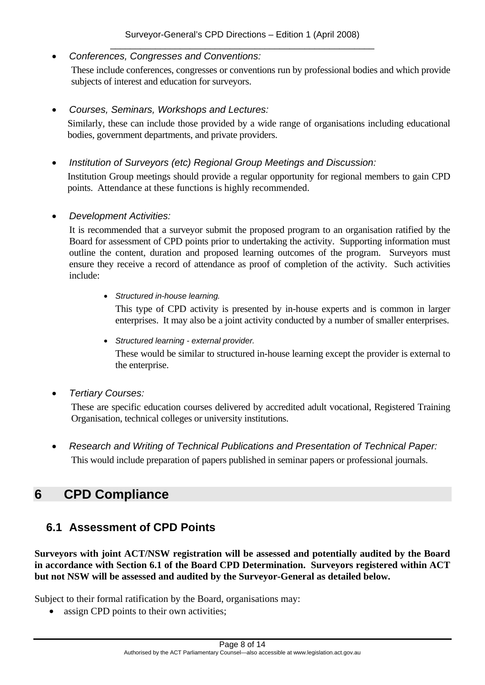<span id="page-7-0"></span>• *Conferences, Congresses and Conventions:* 

These include conferences, congresses or conventions run by professional bodies and which provide subjects of interest and education for surveyors.

• *Courses, Seminars, Workshops and Lectures:* 

Similarly, these can include those provided by a wide range of organisations including educational bodies, government departments, and private providers.

• *Institution of Surveyors (etc) Regional Group Meetings and Discussion:* 

Institution Group meetings should provide a regular opportunity for regional members to gain CPD points. Attendance at these functions is highly recommended.

• *Development Activities:* 

It is recommended that a surveyor submit the proposed program to an organisation ratified by the Board for assessment of CPD points prior to undertaking the activity. Supporting information must outline the content, duration and proposed learning outcomes of the program. Surveyors must ensure they receive a record of attendance as proof of completion of the activity. Such activities include:

• *Structured in-house learning.* 

This type of CPD activity is presented by in-house experts and is common in larger enterprises. It may also be a joint activity conducted by a number of smaller enterprises.

- *Structured learning external provider.*  These would be similar to structured in-house learning except the provider is external to the enterprise.
- *Tertiary Courses:*

These are specific education courses delivered by accredited adult vocational, Registered Training Organisation, technical colleges or university institutions.

• *Research and Writing of Technical Publications and Presentation of Technical Paper:*  This would include preparation of papers published in seminar papers or professional journals.

### **6 CPD Compliance**

#### **6.1 Assessment of CPD Points**

**Surveyors with joint ACT/NSW registration will be assessed and potentially audited by the Board in accordance with Section 6.1 of the Board CPD Determination. Surveyors registered within ACT but not NSW will be assessed and audited by the Surveyor-General as detailed below.** 

Subject to their formal ratification by the Board, organisations may:

• assign CPD points to their own activities;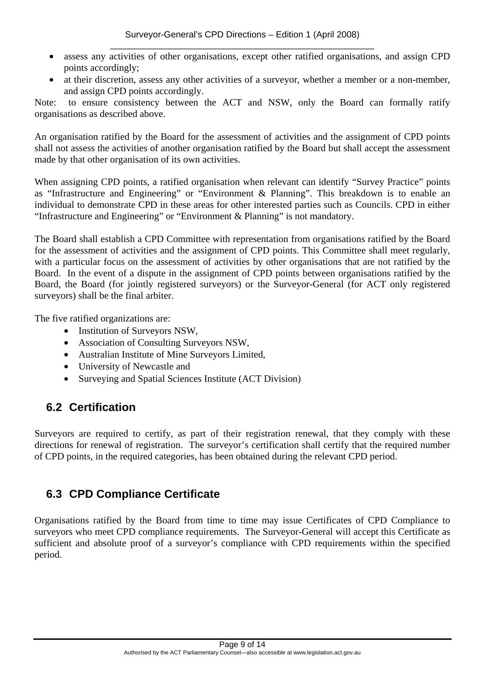- <span id="page-8-0"></span>• assess any activities of other organisations, except other ratified organisations, and assign CPD points accordingly;
- at their discretion, assess any other activities of a surveyor, whether a member or a non-member, and assign CPD points accordingly.

Note: to ensure consistency between the ACT and NSW, only the Board can formally ratify organisations as described above.

An organisation ratified by the Board for the assessment of activities and the assignment of CPD points shall not assess the activities of another organisation ratified by the Board but shall accept the assessment made by that other organisation of its own activities.

When assigning CPD points, a ratified organisation when relevant can identify "Survey Practice" points as "Infrastructure and Engineering" or "Environment & Planning". This breakdown is to enable an individual to demonstrate CPD in these areas for other interested parties such as Councils. CPD in either "Infrastructure and Engineering" or "Environment & Planning" is not mandatory.

The Board shall establish a CPD Committee with representation from organisations ratified by the Board for the assessment of activities and the assignment of CPD points. This Committee shall meet regularly, with a particular focus on the assessment of activities by other organisations that are not ratified by the Board. In the event of a dispute in the assignment of CPD points between organisations ratified by the Board, the Board (for jointly registered surveyors) or the Surveyor-General (for ACT only registered surveyors) shall be the final arbiter.

The five ratified organizations are:

- Institution of Surveyors NSW.
- Association of Consulting Surveyors NSW,
- Australian Institute of Mine Surveyors Limited,
- University of Newcastle and
- Surveying and Spatial Sciences Institute (ACT Division)

#### **6.2 Certification**

Surveyors are required to certify, as part of their registration renewal, that they comply with these directions for renewal of registration. The surveyor's certification shall certify that the required number of CPD points, in the required categories, has been obtained during the relevant CPD period.

#### **6.3 CPD Compliance Certificate**

Organisations ratified by the Board from time to time may issue Certificates of CPD Compliance to surveyors who meet CPD compliance requirements. The Surveyor-General will accept this Certificate as sufficient and absolute proof of a surveyor's compliance with CPD requirements within the specified period.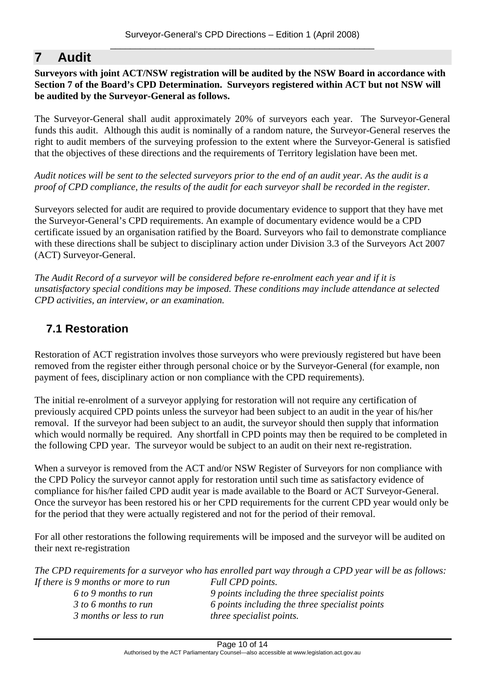## <span id="page-9-0"></span>**7 Audit**

#### **Surveyors with joint ACT/NSW registration will be audited by the NSW Board in accordance with Section 7 of the Board's CPD Determination. Surveyors registered within ACT but not NSW will be audited by the Surveyor-General as follows.**

The Surveyor-General shall audit approximately 20% of surveyors each year. The Surveyor-General funds this audit. Although this audit is nominally of a random nature, the Surveyor-General reserves the right to audit members of the surveying profession to the extent where the Surveyor-General is satisfied that the objectives of these directions and the requirements of Territory legislation have been met.

*Audit notices will be sent to the selected surveyors prior to the end of an audit year. As the audit is a proof of CPD compliance, the results of the audit for each surveyor shall be recorded in the register.* 

Surveyors selected for audit are required to provide documentary evidence to support that they have met the Surveyor-General's CPD requirements. An example of documentary evidence would be a CPD certificate issued by an organisation ratified by the Board. Surveyors who fail to demonstrate compliance with these directions shall be subject to disciplinary action under Division 3.3 of the Surveyors Act 2007 (ACT) Surveyor-General.

*The Audit Record of a surveyor will be considered before re-enrolment each year and if it is unsatisfactory special conditions may be imposed. These conditions may include attendance at selected CPD activities, an interview, or an examination.* 

#### **7.1 Restoration**

Restoration of ACT registration involves those surveyors who were previously registered but have been removed from the register either through personal choice or by the Surveyor-General (for example, non payment of fees, disciplinary action or non compliance with the CPD requirements).

The initial re-enrolment of a surveyor applying for restoration will not require any certification of previously acquired CPD points unless the surveyor had been subject to an audit in the year of his/her removal. If the surveyor had been subject to an audit, the surveyor should then supply that information which would normally be required. Any shortfall in CPD points may then be required to be completed in the following CPD year. The surveyor would be subject to an audit on their next re-registration.

When a surveyor is removed from the ACT and/or NSW Register of Surveyors for non compliance with the CPD Policy the surveyor cannot apply for restoration until such time as satisfactory evidence of compliance for his/her failed CPD audit year is made available to the Board or ACT Surveyor-General. Once the surveyor has been restored his or her CPD requirements for the current CPD year would only be for the period that they were actually registered and not for the period of their removal.

For all other restorations the following requirements will be imposed and the surveyor will be audited on their next re-registration

*The CPD requirements for a surveyor who has enrolled part way through a CPD year will be as follows: If there is 9 months or more to run Full CPD points.* 

 *3 months or less to run three specialist points.* 

 *6 to 9 months to run 9 points including the three specialist points 3 to 6 months to run 6 points including the three specialist points*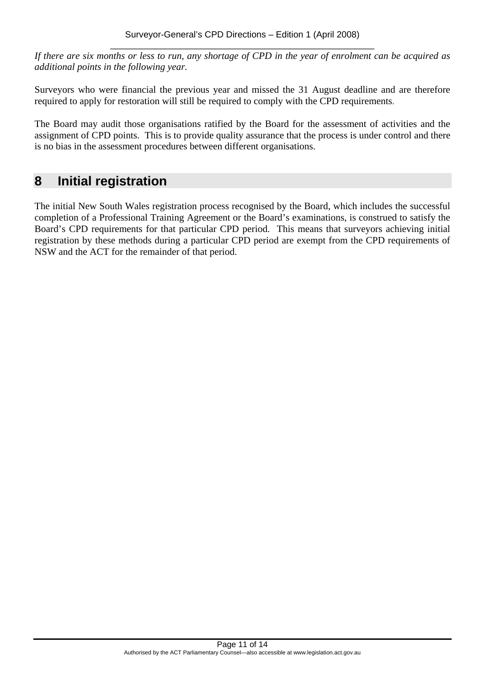<span id="page-10-0"></span>*If there are six months or less to run, any shortage of CPD in the year of enrolment can be acquired as additional points in the following year.* 

Surveyors who were financial the previous year and missed the 31 August deadline and are therefore required to apply for restoration will still be required to comply with the CPD requirements.

The Board may audit those organisations ratified by the Board for the assessment of activities and the assignment of CPD points. This is to provide quality assurance that the process is under control and there is no bias in the assessment procedures between different organisations.

### **8 Initial registration**

The initial New South Wales registration process recognised by the Board, which includes the successful completion of a Professional Training Agreement or the Board's examinations, is construed to satisfy the Board's CPD requirements for that particular CPD period. This means that surveyors achieving initial registration by these methods during a particular CPD period are exempt from the CPD requirements of NSW and the ACT for the remainder of that period.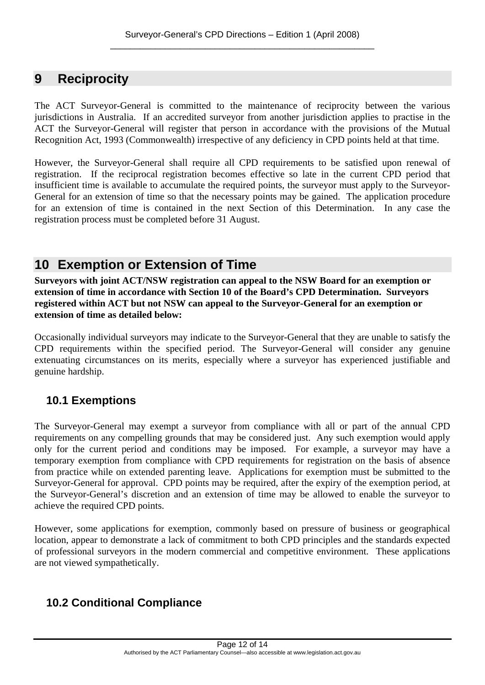### <span id="page-11-0"></span>**9 Reciprocity**

The ACT Surveyor-General is committed to the maintenance of reciprocity between the various jurisdictions in Australia. If an accredited surveyor from another jurisdiction applies to practise in the ACT the Surveyor-General will register that person in accordance with the provisions of the Mutual Recognition Act, 1993 (Commonwealth) irrespective of any deficiency in CPD points held at that time.

However, the Surveyor-General shall require all CPD requirements to be satisfied upon renewal of registration. If the reciprocal registration becomes effective so late in the current CPD period that insufficient time is available to accumulate the required points, the surveyor must apply to the Surveyor-General for an extension of time so that the necessary points may be gained. The application procedure for an extension of time is contained in the next Section of this Determination. In any case the registration process must be completed before 31 August.

# **10 Exemption or Extension of Time**

**Surveyors with joint ACT/NSW registration can appeal to the NSW Board for an exemption or extension of time in accordance with Section 10 of the Board's CPD Determination. Surveyors registered within ACT but not NSW can appeal to the Surveyor-General for an exemption or extension of time as detailed below:**

Occasionally individual surveyors may indicate to the Surveyor-General that they are unable to satisfy the CPD requirements within the specified period. The Surveyor-General will consider any genuine extenuating circumstances on its merits, especially where a surveyor has experienced justifiable and genuine hardship.

#### **10.1 Exemptions**

The Surveyor-General may exempt a surveyor from compliance with all or part of the annual CPD requirements on any compelling grounds that may be considered just. Any such exemption would apply only for the current period and conditions may be imposed. For example, a surveyor may have a temporary exemption from compliance with CPD requirements for registration on the basis of absence from practice while on extended parenting leave. Applications for exemption must be submitted to the Surveyor-General for approval. CPD points may be required, after the expiry of the exemption period, at the Surveyor-General's discretion and an extension of time may be allowed to enable the surveyor to achieve the required CPD points.

However, some applications for exemption, commonly based on pressure of business or geographical location, appear to demonstrate a lack of commitment to both CPD principles and the standards expected of professional surveyors in the modern commercial and competitive environment. These applications are not viewed sympathetically.

#### **10.2 Conditional Compliance**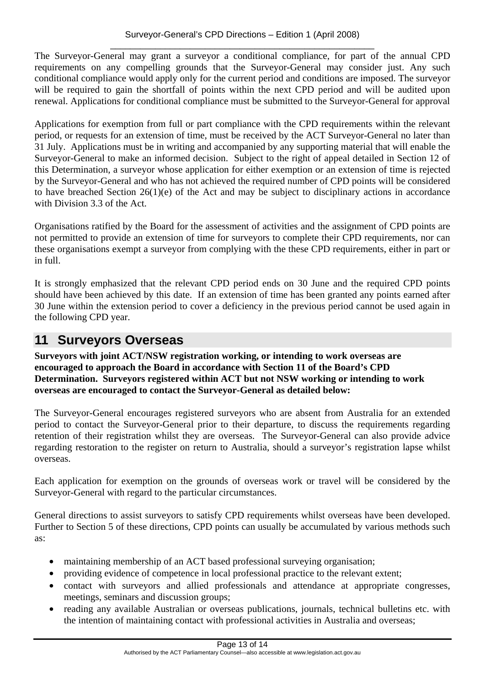<span id="page-12-0"></span>The Surveyor-General may grant a surveyor a conditional compliance, for part of the annual CPD requirements on any compelling grounds that the Surveyor-General may consider just. Any such conditional compliance would apply only for the current period and conditions are imposed. The surveyor will be required to gain the shortfall of points within the next CPD period and will be audited upon renewal. Applications for conditional compliance must be submitted to the Surveyor-General for approval

Applications for exemption from full or part compliance with the CPD requirements within the relevant period, or requests for an extension of time, must be received by the ACT Surveyor-General no later than 31 July. Applications must be in writing and accompanied by any supporting material that will enable the Surveyor-General to make an informed decision. Subject to the right of appeal detailed in Section 12 of this Determination, a surveyor whose application for either exemption or an extension of time is rejected by the Surveyor-General and who has not achieved the required number of CPD points will be considered to have breached Section 26(1)(e) of the Act and may be subject to disciplinary actions in accordance with Division 3.3 of the Act.

Organisations ratified by the Board for the assessment of activities and the assignment of CPD points are not permitted to provide an extension of time for surveyors to complete their CPD requirements, nor can these organisations exempt a surveyor from complying with the these CPD requirements, either in part or in full.

It is strongly emphasized that the relevant CPD period ends on 30 June and the required CPD points should have been achieved by this date. If an extension of time has been granted any points earned after 30 June within the extension period to cover a deficiency in the previous period cannot be used again in the following CPD year.

### **11 Surveyors Overseas**

**Surveyors with joint ACT/NSW registration working, or intending to work overseas are encouraged to approach the Board in accordance with Section 11 of the Board's CPD Determination. Surveyors registered within ACT but not NSW working or intending to work overseas are encouraged to contact the Surveyor-General as detailed below:**

The Surveyor-General encourages registered surveyors who are absent from Australia for an extended period to contact the Surveyor-General prior to their departure, to discuss the requirements regarding retention of their registration whilst they are overseas. The Surveyor-General can also provide advice regarding restoration to the register on return to Australia, should a surveyor's registration lapse whilst overseas.

Each application for exemption on the grounds of overseas work or travel will be considered by the Surveyor-General with regard to the particular circumstances.

General directions to assist surveyors to satisfy CPD requirements whilst overseas have been developed. Further to Section 5 of these directions, CPD points can usually be accumulated by various methods such as:

- maintaining membership of an ACT based professional surveying organisation;
- providing evidence of competence in local professional practice to the relevant extent;
- contact with surveyors and allied professionals and attendance at appropriate congresses, meetings, seminars and discussion groups;
- reading any available Australian or overseas publications, journals, technical bulletins etc. with the intention of maintaining contact with professional activities in Australia and overseas;